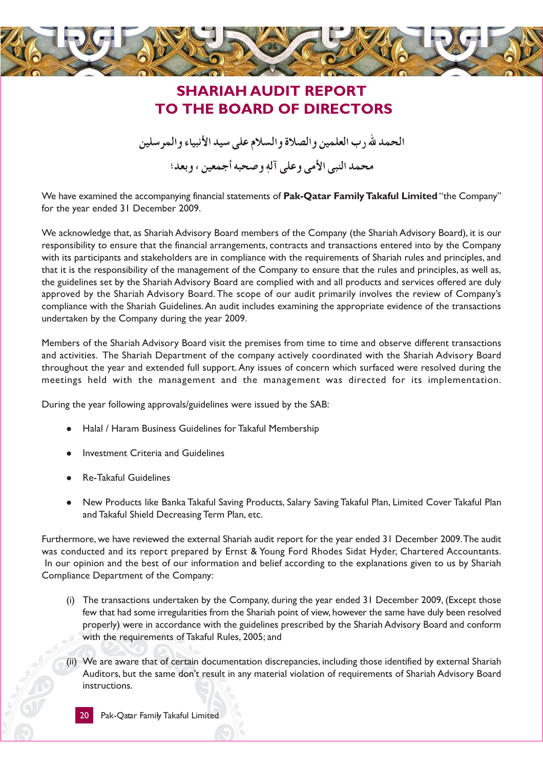

## **SHARIAH AUDIT REPORT** TO THE BOARD OF DIRECTORS

الحمد لله رب العلمين والصلاة والسلام على سيد الأنبياء والمرسلين

محمد النبي الأمي وعلى آله وصحبه أجمعين ، وبعد؛

We have examined the accompanying financial statements of Pak-Qatar Family Takaful Limited "the Company" for the year ended 31 December 2009.

We acknowledge that, as Shariah Advisory Board members of the Company (the Shariah Advisory Board), it is our responsibility to ensure that the financial arrangements, contracts and transactions entered into by the Company with its participants and stakeholders are in compliance with the requirements of Shariah rules and principles, and that it is the responsibility of the management of the Company to ensure that the rules and principles, as well as, the guidelines set by the Shariah Advisory Board are complied with and all products and services offered are duly approved by the Shariah Advisory Board. The scope of our audit primarily involves the review of Company's compliance with the Shariah Guidelines. An audit includes examining the appropriate evidence of the transactions undertaken by the Company during the year 2009.

Members of the Shariah Advisory Board visit the premises from time to time and observe different transactions and activities. The Shariah Department of the company actively coordinated with the Shariah Advisory Board throughout the year and extended full support. Any issues of concern which surfaced were resolved during the meetings held with the management and the management was directed for its implementation.

During the year following approvals/guidelines were issued by the SAB:

- Halal / Haram Business Guidelines for Takaful Membership
- **Investment Criteria and Guidelines**
- **Re-Takaful Guidelines**
- New Products like Banka Takaful Saving Products, Salary Saving Takaful Plan, Limited Cover Takaful Plan and Takaful Shield Decreasing Term Plan, etc.

Furthermore, we have reviewed the external Shariah audit report for the year ended 31 December 2009. The audit was conducted and its report prepared by Ernst & Young Ford Rhodes Sidat Hyder, Chartered Accountants. In our opinion and the best of our information and belief according to the explanations given to us by Shariah Compliance Department of the Company:

- (i) The transactions undertaken by the Company, during the year ended 31 December 2009, (Except those few that had some irregularities from the Shariah point of view, however the same have duly been resolved properly) were in accordance with the guidelines prescribed by the Shariah Advisory Board and conform with the requirements of Takaful Rules, 2005; and
- (ii) We are aware that of certain documentation discrepancies, including those identified by external Shariah Auditors, but the same don't result in any material violation of requirements of Shariah Advisory Board instructions.

20 Pak-Qatar Family Takaful Limited